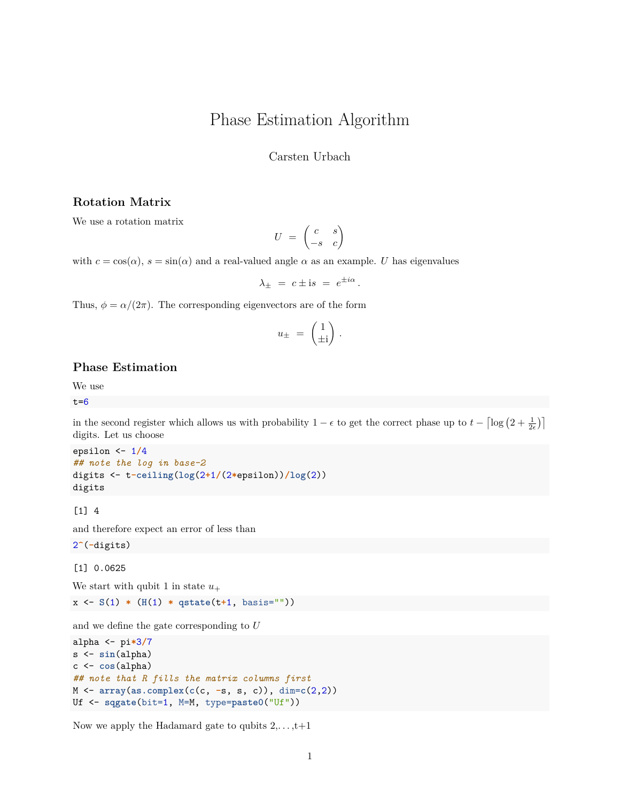## Phase Estimation Algorithm

Carsten Urbach

### **Rotation Matrix**

We use a rotation matrix

$$
U = \begin{pmatrix} c & s \\ -s & c \end{pmatrix}
$$

with  $c = \cos(\alpha)$ ,  $s = \sin(\alpha)$  and a real-valued angle  $\alpha$  as an example. *U* has eigenvalues

$$
\lambda_{\pm} = c \pm \mathrm{i} s = e^{\pm i \alpha}.
$$

Thus,  $\phi = \alpha/(2\pi)$ . The corresponding eigenvectors are of the form

$$
u_{\pm} = \begin{pmatrix} 1 \\ \pm i \end{pmatrix}.
$$

## **Phase Estimation**

We use

 $t=6$ 

in the second register which allows us with probability  $1 - \epsilon$  to get the correct phase up to  $t - \left\lceil \log \left(2 + \frac{1}{2\epsilon} \right) \right\rceil$ digits. Let us choose

epsilon <- 1**/**4 *## note the log in base-2* digits <- t**-ceiling**(**log**(2**+**1**/**(2**\***epsilon))**/log**(2)) digits

 $[1]$  4

and therefore expect an error of less than

2**^**(**-**digits)

[1] 0.0625

We start with qubit 1 in state  $u_+$ 

x <- **S**(1) **\*** (**H**(1) **\* qstate**(t**+**1, basis=""))

and we define the gate corresponding to *U*

```
alpha <- pi*3/7
s <- sin(alpha)
c <- cos(alpha)
## note that R fills the matrix columns first
M <- array(as.complex(c(c, -s, s, c)), dim=c(2,2))
Uf <- sqgate(bit=1, M=M, type=paste0("Uf"))
```
Now we apply the Hadamard gate to qubits  $2, \ldots, t+1$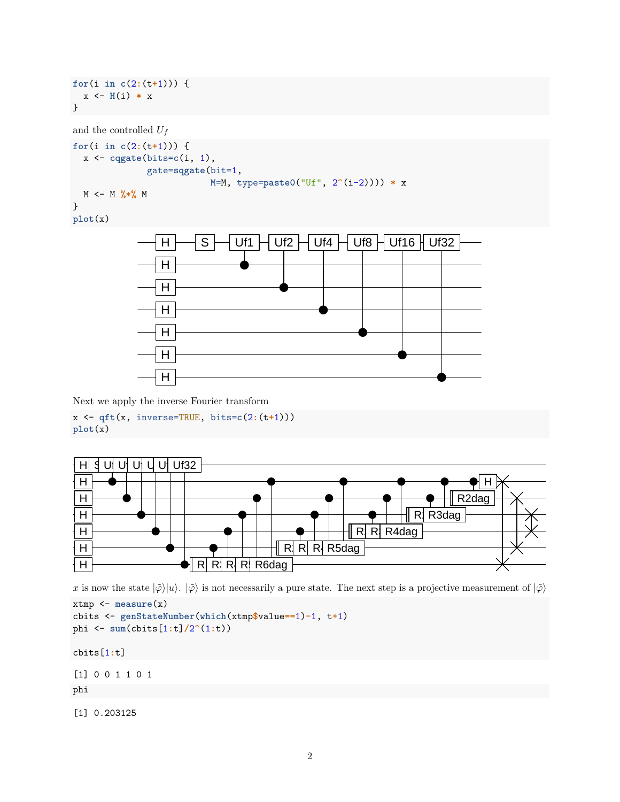```
for(i in c(2:(t+1))) {
  x <- H(i) * x
}
```

```
and the controlled U_f
```

```
for(i in c(2:(t+1))) {
  x <- cqgate(bits=c(i, 1),
              gate=sqgate(bit=1,
                          M=M, type=paste0("Uf", 2^(i-2)))) * x
 M <- M %*% M
}
```

```
plot(x)
```


Next we apply the inverse Fourier transform

```
x <- qft(x, inverse=TRUE, bits=c(2:(t+1)))
plot(x)
```


*x* is now the state  $|\phi\rangle|u\rangle$ .  $|\phi\rangle$  is not necessarily a pure state. The next step is a projective measurement of  $|\phi\rangle$ 

```
xtmp <- measure(x)
cbits <- genStateNumber(which(xtmp$value==1)-1, t+1)
phi <- sum(cbits[1:t]/2^(1:t))
```
cbits[1**:**t]

[1] 0 0 1 1 0 1

phi

[1] 0.203125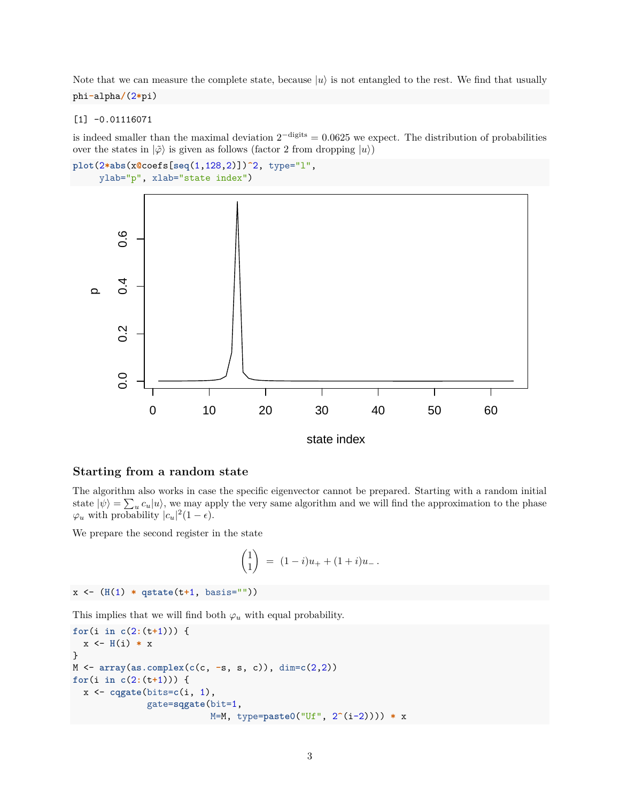Note that we can measure the complete state, because  $|u\rangle$  is not entangled to the rest. We find that usually phi**-**alpha**/**(2**\***pi)

[1] -0.01116071

is indeed smaller than the maximal deviation  $2^{-\text{digits}} = 0.0625$  we expect. The distribution of probabilities over the states in  $|\tilde{\varphi}\rangle$  is given as follows (factor 2 from dropping  $|u\rangle$ )

```
plot(2*abs(x@coefs[seq(1,128,2)])^2, type="l",
     ylab="p", xlab="state index")
```


#### **Starting from a random state**

The algorithm also works in case the specific eigenvector cannot be prepared. Starting with a random initial state  $|\psi\rangle = \sum_{u} c_u |u\rangle$ , we may apply the very same algorithm and we will find the approximation to the phase  $\varphi_u$  with probability  $|c_u|^2(1-\epsilon)$ .

We prepare the second register in the state

$$
\binom{1}{1} = (1-i)u_+ + (1+i)u_-.
$$

```
x <- (H(1) * qstate(t+1, basis=""))
```
This implies that we will find both  $\varphi_u$  with equal probability.

```
for(i in c(2:(t+1))) {
  x <- H(i) * x
}
M <- array(as.complex(c(c, -s, s, c)), dim=c(2,2))
for(i in c(2:(t+1))) {
  x <- cqgate(bits=c(i, 1),
              gate=sqgate(bit=1,
                          M=M, type=paste0("Uf", 2^(i-2)))) * x
```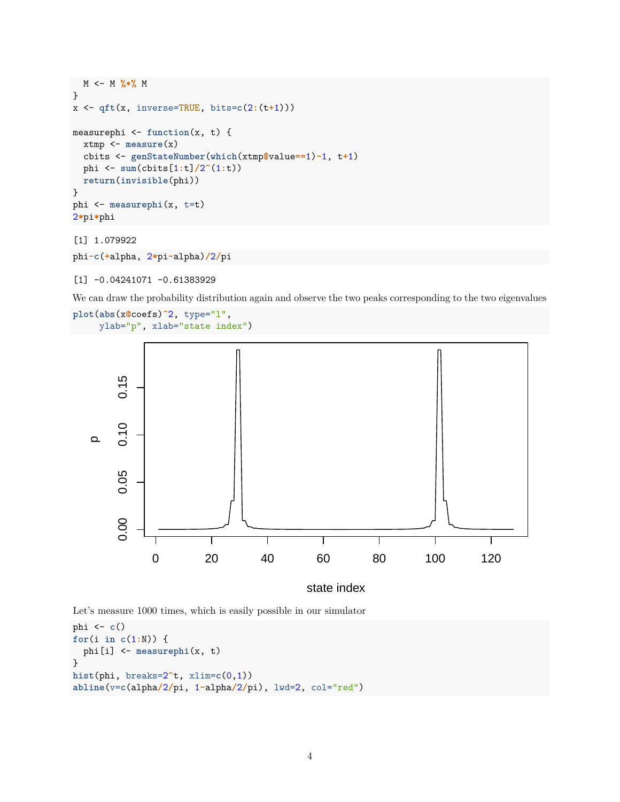```
M <- M %*% M
}
x <- qft(x, inverse=TRUE, bits=c(2:(t+1)))
measurephi <- function(x, t) {
  xtmp <- measure(x)
  cbits <- genStateNumber(which(xtmp$value==1)-1, t+1)
  phi <- sum(cbits[1:t]/2^(1:t))
  return(invisible(phi))
}
phi <- measurephi(x, t=t)
2*pi*phi
[1] 1.079922
```

```
phi-c(+alpha, 2*pi-alpha)/2/pi
```
[1] -0.04241071 -0.61383929

We can draw the probability distribution again and observe the two peaks corresponding to the two eigenvalues

```
plot(abs(x@coefs)^2, type="l",
    ylab="p", xlab="state index")
```


state index

Let's measure 1000 times, which is easily possible in our simulator

```
phi <- c()
for(i in c(1:N)) {
  phi[i] <- measurephi(x, t)
}
hist(phi, breaks=2^t, xlim=c(0,1))
abline(v=c(alpha/2/pi, 1-alpha/2/pi), lwd=2, col="red")
```